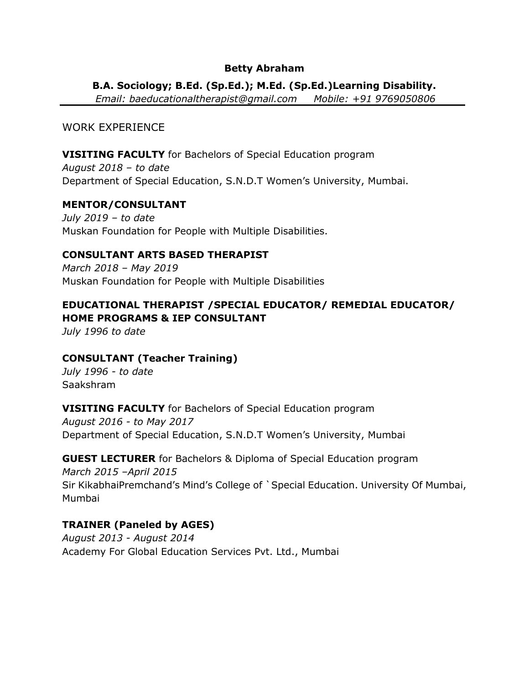#### **Betty Abraham**

#### **B.A. Sociology; B.Ed. (Sp.Ed.); M.Ed. (Sp.Ed.)Learning Disability.**

*Email: baeducationaltherapist@gmail.com Mobile: +91 9769050806*

# WORK EXPERIENCE

#### **VISITING FACULTY** for Bachelors of Special Education program

*August 2018 – to date* Department of Special Education, S.N.D.T Women's University, Mumbai.

# **MENTOR/CONSULTANT**

*July 2019 – to date* Muskan Foundation for People with Multiple Disabilities.

#### **CONSULTANT ARTS BASED THERAPIST**

*March 2018 – May 2019* Muskan Foundation for People with Multiple Disabilities

# **EDUCATIONAL THERAPIST /SPECIAL EDUCATOR/ REMEDIAL EDUCATOR/ HOME PROGRAMS & IEP CONSULTANT**

*July 1996 to date*

# **CONSULTANT (Teacher Training)**

*July 1996 - to date* Saakshram

#### **VISITING FACULTY** for Bachelors of Special Education program

*August 2016 - to May 2017* Department of Special Education, S.N.D.T Women's University, Mumbai

#### **GUEST LECTURER** for Bachelors & Diploma of Special Education program

*March 2015 –April 2015* Sir KikabhaiPremchand's Mind's College of `Special Education. University Of Mumbai, Mumbai

# **TRAINER (Paneled by AGES)**

*August 2013 - August 2014* Academy For Global Education Services Pvt. Ltd., Mumbai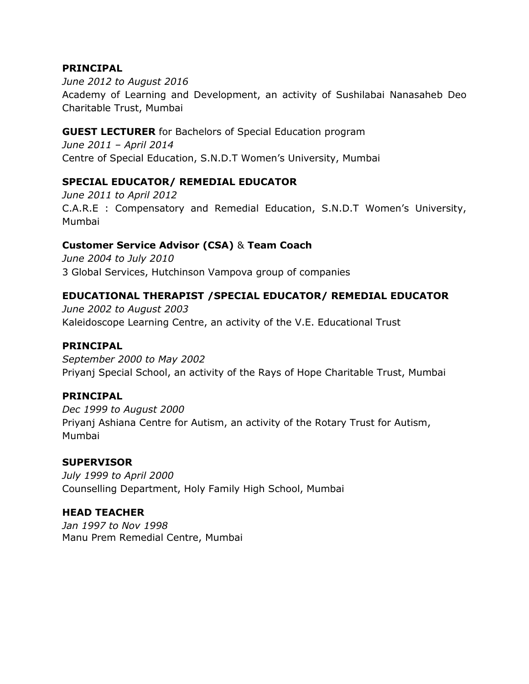#### **PRINCIPAL**

*June 2012 to August 2016* Academy of Learning and Development, an activity of Sushilabai Nanasaheb Deo Charitable Trust, Mumbai

# **GUEST LECTURER** for Bachelors of Special Education program

*June 2011 – April 2014* Centre of Special Education, S.N.D.T Women's University, Mumbai

# **SPECIAL EDUCATOR/ REMEDIAL EDUCATOR**

*June 2011 to April 2012* C.A.R.E : Compensatory and Remedial Education, S.N.D.T Women's University, Mumbai

# **Customer Service Advisor (CSA)** & **Team Coach**

*June 2004 to July 2010* 3 Global Services, Hutchinson Vampova group of companies

# **EDUCATIONAL THERAPIST /SPECIAL EDUCATOR/ REMEDIAL EDUCATOR**

*June 2002 to August 2003* Kaleidoscope Learning Centre, an activity of the V.E. Educational Trust

#### **PRINCIPAL**

*September 2000 to May 2002* Priyanj Special School, an activity of the Rays of Hope Charitable Trust, Mumbai

#### **PRINCIPAL**

*Dec 1999 to August 2000* Priyanj Ashiana Centre for Autism, an activity of the Rotary Trust for Autism, Mumbai

#### **SUPERVISOR**

*July 1999 to April 2000* Counselling Department, Holy Family High School, Mumbai

#### **HEAD TEACHER**

*Jan 1997 to Nov 1998*  Manu Prem Remedial Centre, Mumbai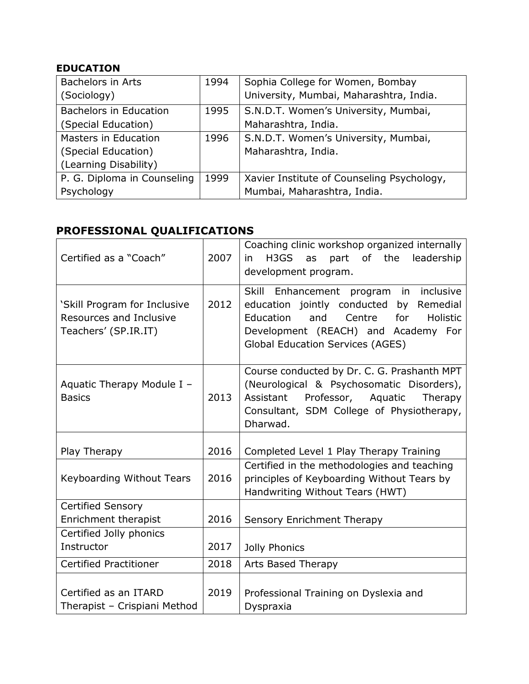# **EDUCATION**

| <b>Bachelors in Arts</b>      | 1994 | Sophia College for Women, Bombay           |
|-------------------------------|------|--------------------------------------------|
| (Sociology)                   |      | University, Mumbai, Maharashtra, India.    |
| <b>Bachelors in Education</b> | 1995 | S.N.D.T. Women's University, Mumbai,       |
| (Special Education)           |      | Maharashtra, India.                        |
| Masters in Education          | 1996 | S.N.D.T. Women's University, Mumbai,       |
| (Special Education)           |      | Maharashtra, India.                        |
| (Learning Disability)         |      |                                            |
| P. G. Diploma in Counseling   | 1999 | Xavier Institute of Counseling Psychology, |
| Psychology                    |      | Mumbai, Maharashtra, India.                |

# **PROFESSIONAL QUALIFICATIONS**

| Certified as a "Coach"                                                          | 2007 | Coaching clinic workshop organized internally<br>H3GS<br>part of the<br>leadership<br>as<br>in.<br>development program.                                                                                              |
|---------------------------------------------------------------------------------|------|----------------------------------------------------------------------------------------------------------------------------------------------------------------------------------------------------------------------|
| 'Skill Program for Inclusive<br>Resources and Inclusive<br>Teachers' (SP.IR.IT) | 2012 | Skill Enhancement program in inclusive<br>education jointly conducted by Remedial<br>Education<br>and<br>Centre<br>for<br>Holistic<br>Development (REACH) and Academy For<br><b>Global Education Services (AGES)</b> |
| Aquatic Therapy Module I -<br><b>Basics</b>                                     | 2013 | Course conducted by Dr. C. G. Prashanth MPT<br>(Neurological & Psychosomatic Disorders),<br>Assistant Professor, Aquatic Therapy<br>Consultant, SDM College of Physiotherapy,<br>Dharwad.                            |
| Play Therapy                                                                    | 2016 | Completed Level 1 Play Therapy Training                                                                                                                                                                              |
| Keyboarding Without Tears                                                       | 2016 | Certified in the methodologies and teaching<br>principles of Keyboarding Without Tears by<br>Handwriting Without Tears (HWT)                                                                                         |
| <b>Certified Sensory</b>                                                        |      |                                                                                                                                                                                                                      |
| <b>Enrichment therapist</b>                                                     | 2016 | Sensory Enrichment Therapy                                                                                                                                                                                           |
| Certified Jolly phonics                                                         |      |                                                                                                                                                                                                                      |
| Instructor                                                                      | 2017 | Jolly Phonics                                                                                                                                                                                                        |
| <b>Certified Practitioner</b>                                                   | 2018 | Arts Based Therapy                                                                                                                                                                                                   |
| Certified as an ITARD<br>Therapist - Crispiani Method                           | 2019 | Professional Training on Dyslexia and<br>Dyspraxia                                                                                                                                                                   |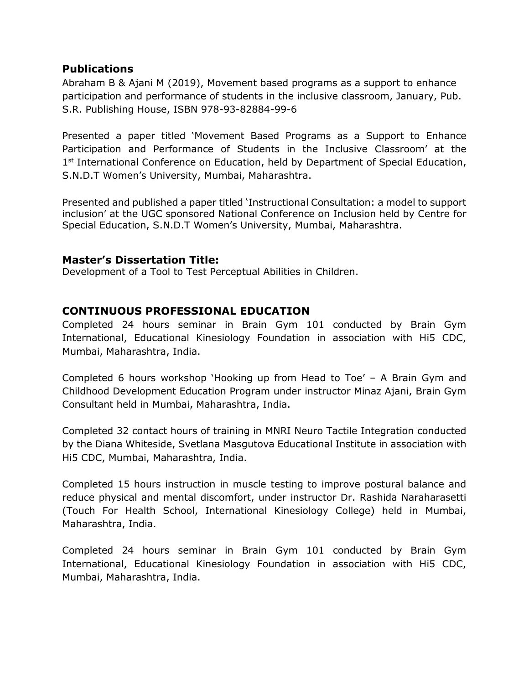# **Publications**

Abraham B & Ajani M (2019), Movement based programs as a support to enhance participation and performance of students in the inclusive classroom, January, Pub. S.R. Publishing House, ISBN 978-93-82884-99-6

Presented a paper titled 'Movement Based Programs as a Support to Enhance Participation and Performance of Students in the Inclusive Classroom' at the 1<sup>st</sup> International Conference on Education, held by Department of Special Education, S.N.D.T Women's University, Mumbai, Maharashtra.

Presented and published a paper titled 'Instructional Consultation: a model to support inclusion' at the UGC sponsored National Conference on Inclusion held by Centre for Special Education, S.N.D.T Women's University, Mumbai, Maharashtra.

# **Master's Dissertation Title:**

Development of a Tool to Test Perceptual Abilities in Children.

# **CONTINUOUS PROFESSIONAL EDUCATION**

Completed 24 hours seminar in Brain Gym 101 conducted by Brain Gym International, Educational Kinesiology Foundation in association with Hi5 CDC, Mumbai, Maharashtra, India.

Completed 6 hours workshop 'Hooking up from Head to Toe' – A Brain Gym and Childhood Development Education Program under instructor Minaz Ajani, Brain Gym Consultant held in Mumbai, Maharashtra, India.

Completed 32 contact hours of training in MNRI Neuro Tactile Integration conducted by the Diana Whiteside, Svetlana Masgutova Educational Institute in association with Hi5 CDC, Mumbai, Maharashtra, India.

Completed 15 hours instruction in muscle testing to improve postural balance and reduce physical and mental discomfort, under instructor Dr. Rashida Naraharasetti (Touch For Health School, International Kinesiology College) held in Mumbai, Maharashtra, India.

Completed 24 hours seminar in Brain Gym 101 conducted by Brain Gym International, Educational Kinesiology Foundation in association with Hi5 CDC, Mumbai, Maharashtra, India.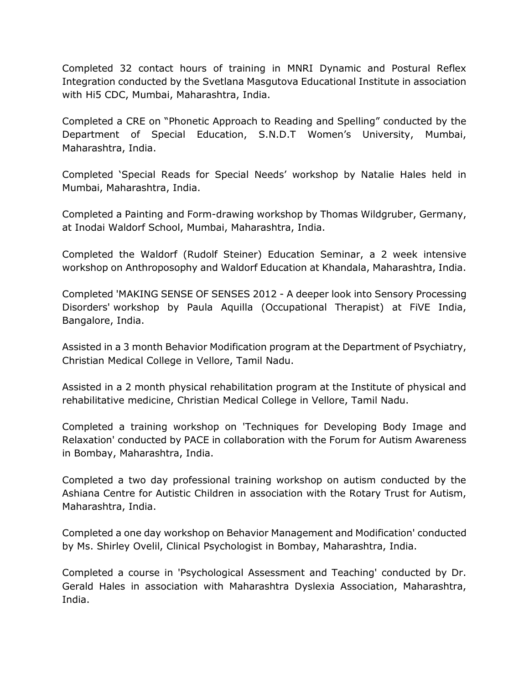Completed 32 contact hours of training in MNRI Dynamic and Postural Reflex Integration conducted by the Svetlana Masgutova Educational Institute in association with Hi5 CDC, Mumbai, Maharashtra, India.

Completed a CRE on "Phonetic Approach to Reading and Spelling" conducted by the Department of Special Education, S.N.D.T Women's University, Mumbai, Maharashtra, India.

Completed 'Special Reads for Special Needs' workshop by Natalie Hales held in Mumbai, Maharashtra, India.

Completed a Painting and Form-drawing workshop by Thomas Wildgruber, Germany, at Inodai Waldorf School, Mumbai, Maharashtra, India.

Completed the Waldorf (Rudolf Steiner) Education Seminar, a 2 week intensive workshop on Anthroposophy and Waldorf Education at Khandala, Maharashtra, India.

Completed 'MAKING SENSE OF SENSES 2012 - A deeper look into Sensory Processing Disorders' workshop by Paula Aquilla (Occupational Therapist) at FiVE India, Bangalore, India.

Assisted in a 3 month Behavior Modification program at the Department of Psychiatry, Christian Medical College in Vellore, Tamil Nadu.

Assisted in a 2 month physical rehabilitation program at the Institute of physical and rehabilitative medicine, Christian Medical College in Vellore, Tamil Nadu.

Completed a training workshop on 'Techniques for Developing Body Image and Relaxation' conducted by PACE in collaboration with the Forum for Autism Awareness in Bombay, Maharashtra, India.

Completed a two day professional training workshop on autism conducted by the Ashiana Centre for Autistic Children in association with the Rotary Trust for Autism, Maharashtra, India.

Completed a one day workshop on Behavior Management and Modification' conducted by Ms. Shirley Ovelil, Clinical Psychologist in Bombay, Maharashtra, India.

Completed a course in 'Psychological Assessment and Teaching' conducted by Dr. Gerald Hales in association with Maharashtra Dyslexia Association, Maharashtra, India.